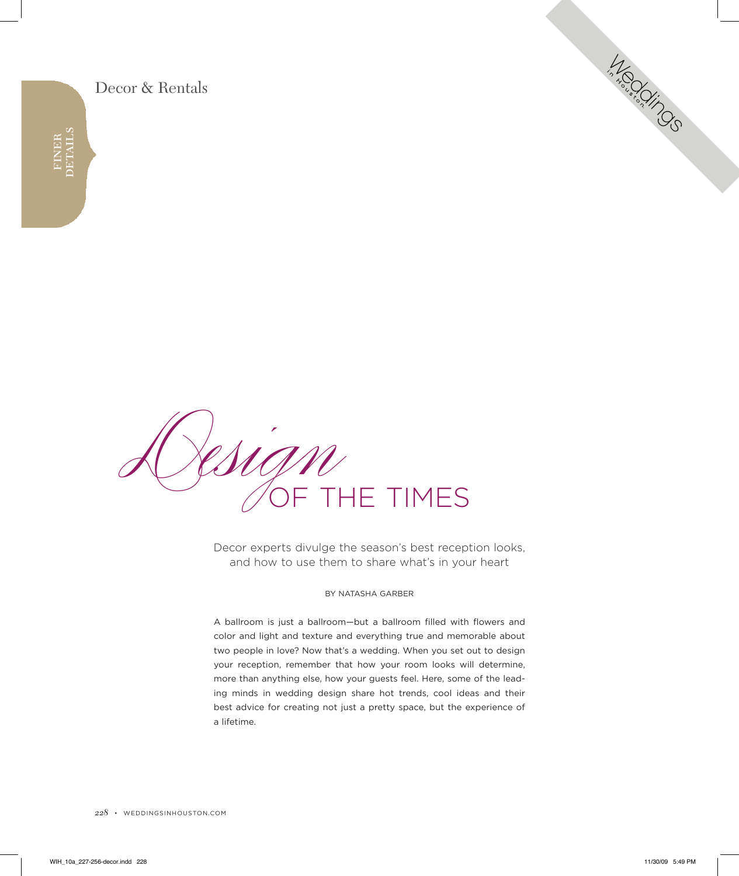### Decor & Rentals



Decor experts divulge the season's best reception looks, and how to use them to share what's in your heart

Integration of

#### By natasha garBer

a ballroom is just a ballroom—but a ballroom filled with flowers and color and light and texture and everything true and memorable about two people in love? Now that's a wedding. When you set out to design your reception, remember that how your room looks will determine, more than anything else, how your guests feel. here, some of the leading minds in wedding design share hot trends, cool ideas and their best advice for creating not just a pretty space, but the experience of a lifetime.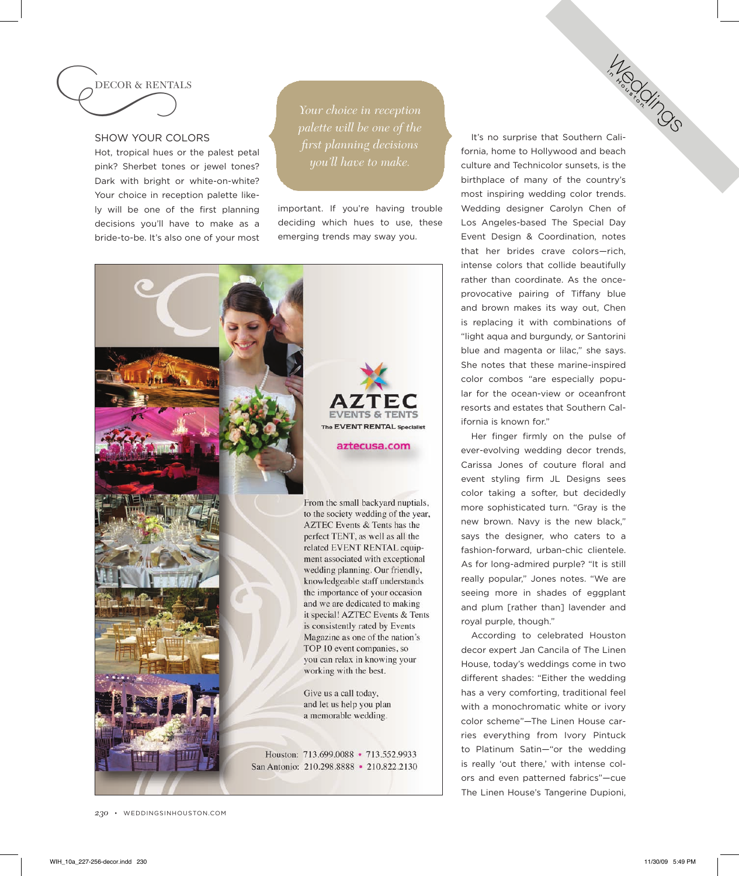

### shoW your colors

hot, tropical hues or the palest petal pink? Sherbet tones or jewel tones? Dark with bright or white-on-white? Your choice in reception palette likely will be one of the first planning decisions you'll have to make as a bride-to-be. it's also one of your most

important. If you're having trouble deciding which hues to use, these emerging trends may sway you.



It's no surprise that Southern California, home to Hollywood and beach culture and technicolor sunsets, is the birthplace of many of the country's most inspiring wedding color trends. Wedding designer Carolyn Chen of Los Angeles-based The Special Day Event Design & Coordination, notes that her brides crave colors—rich, intense colors that collide beautifully rather than coordinate. As the onceprovocative pairing of Tiffany blue and brown makes its way out, chen is replacing it with combinations of "light aqua and burgundy, or santorini blue and magenta or lilac," she says. she notes that these marine-inspired color combos "are especially popular for the ocean-view or oceanfront resorts and estates that southern california is known for." **MEGICS** 

her finger firmly on the pulse of ever-evolving wedding decor trends, carissa Jones of couture floral and event styling firm JL Designs sees color taking a softer, but decidedly more sophisticated turn. "Gray is the new brown. Navy is the new black," says the designer, who caters to a fashion-forward, urban-chic clientele. As for long-admired purple? "It is still really popular," Jones notes. "We are seeing more in shades of eggplant and plum [rather than] lavender and royal purple, though."

According to celebrated Houston decor expert Jan Cancila of The Linen house, today's weddings come in two different shades: "Either the wedding has a very comforting, traditional feel with a monochromatic white or ivory color scheme"-The Linen House carries everything from Ivory Pintuck to Platinum Satin-"or the wedding is really 'out there,' with intense colors and even patterned fabrics"—cue The Linen House's Tangerine Dupioni,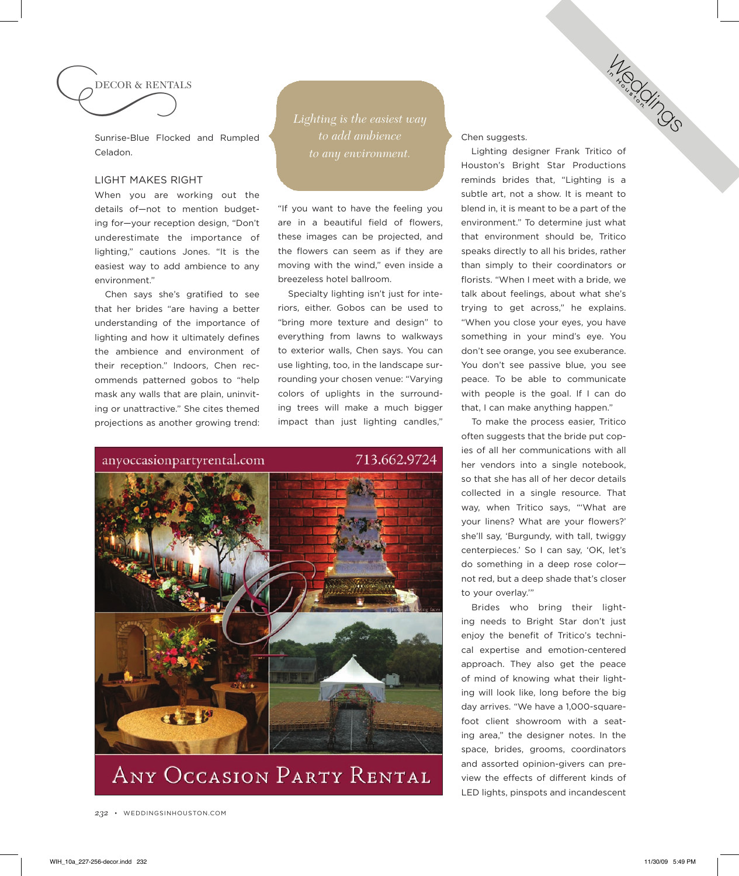

Sunrise-Blue Flocked and Rumpled celadon.

### light makes right

When you are working out the details of—not to mention budgeting for-your reception design, "Don't underestimate the importance of lighting," cautions Jones. "it is the easiest way to add ambience to any environment."

chen says she's gratified to see that her brides "are having a better understanding of the importance of lighting and how it ultimately defines the ambience and environment of their reception." Indoors, Chen recommends patterned gobos to "help mask any walls that are plain, uninviting or unattractive." she cites themed projections as another growing trend: *Lighting is the easiest way* 

"if you want to have the feeling you are in a beautiful field of flowers, these images can be projected, and the flowers can seem as if they are moving with the wind," even inside a breezeless hotel ballroom.

specialty lighting isn't just for interiors, either. Gobos can be used to "bring more texture and design" to everything from lawns to walkways to exterior walls, Chen says. You can use lighting, too, in the landscape surrounding your chosen venue: "Varying colors of uplights in the surrounding trees will make a much bigger impact than just lighting candles,"



chen suggests.

Lighting designer Frank Tritico of Houston's Bright Star Productions reminds brides that, "Lighting is a subtle art, not a show. It is meant to blend in, it is meant to be a part of the environment." To determine just what that environment should be. Tritico speaks directly to all his brides, rather than simply to their coordinators or florists. "When I meet with a bride, we talk about feelings, about what she's trying to get across," he explains. "When you close your eyes, you have something in your mind's eye. You don't see orange, you see exuberance. You don't see passive blue, you see peace. To be able to communicate with people is the goal. If I can do that, i can make anything happen."

Integration of

To make the process easier. Tritico often suggests that the bride put copies of all her communications with all her vendors into a single notebook. so that she has all of her decor details collected in a single resource. That way, when Tritico says, "'What are your linens? What are your flowers?' she'll say, 'Burgundy, with tall, twiggy centerpieces.' So I can say, 'OK, let's do something in a deep rose color not red, but a deep shade that's closer to your overlay.'"

Brides who bring their lighting needs to Bright Star don't just enjoy the benefit of Tritico's technical expertise and emotion-centered approach. They also get the peace of mind of knowing what their lighting will look like, long before the big day arrives. "We have a 1,000-squarefoot client showroom with a seating area," the designer notes. in the space, brides, grooms, coordinators and assorted opinion-givers can preview the effects of different kinds of LED lights, pinspots and incandescent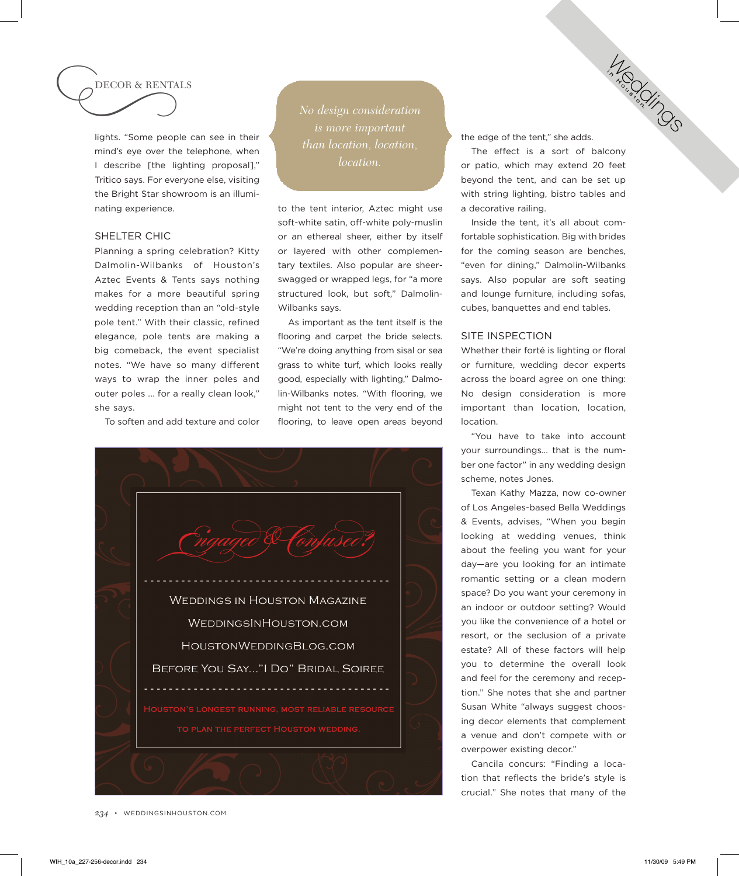# DECOR & REnTALS

c

lights. "some people can see in their mind's eye over the telephone, when I describe [the lighting proposal]," Tritico says. For everyone else, visiting the Bright star showroom is an illuminating experience.

### SHELTER CHIC

Planning a spring celebration? Kitty Dalmolin-Wilbanks of Houston's Aztec Events & Tents says nothing makes for a more beautiful spring wedding reception than an "old-style pole tent." With their classic, refined elegance, pole tents are making a big comeback, the event specialist notes. "We have so many different ways to wrap the inner poles and outer poles ... for a really clean look," she says.

To soften and add texture and color

*No design consideration than location, location, location.*

to the tent interior, Aztec might use soft-white satin, off-white poly-muslin or an ethereal sheer, either by itself or layered with other complementary textiles. Also popular are sheerswagged or wrapped legs, for "a more structured look, but soft," Dalmolin-Wilbanks says.

As important as the tent itself is the flooring and carpet the bride selects. "We're doing anything from sisal or sea grass to white turf, which looks really good, especially with lighting," Dalmolin-Wilbanks notes. "With flooring, we might not tent to the very end of the flooring, to leave open areas beyond



the edge of the tent," she adds.

The effect is a sort of balcony or patio, which may extend 20 feet beyond the tent, and can be set up with string lighting, bistro tables and a decorative railing.

**MEDITION** 

inside the tent, it's all about comfortable sophistication. Big with brides for the coming season are benches, "even for dining," Dalmolin-Wilbanks says. Also popular are soft seating and lounge furniture, including sofas, cubes, banquettes and end tables.

### site insPection

Whether their forté is lighting or floral or furniture, wedding decor experts across the board agree on one thing: No design consideration is more important than location, location, location.

"you have to take into account your surroundings... that is the number one factor" in any wedding design scheme, notes Jones.

Texan Kathy Mazza, now co-owner of los angeles-based Bella Weddings & Events, advises, "When you begin looking at wedding venues, think about the feeling you want for your day—are you looking for an intimate romantic setting or a clean modern space? Do you want your ceremony in an indoor or outdoor setting? Would you like the convenience of a hotel or resort, or the seclusion of a private estate? All of these factors will help you to determine the overall look and feel for the ceremony and reception." she notes that she and partner susan White "always suggest choosing decor elements that complement a venue and don't compete with or overpower existing decor."

cancila concurs: "Finding a location that reflects the bride's style is crucial." She notes that many of the